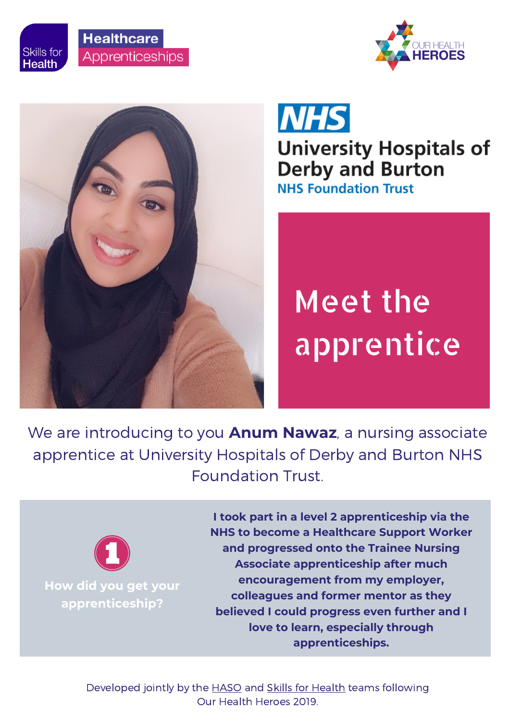









**University Hospitals of Derby and Burton NHS Foundation Trust** 

# Meet the apprentice

We are introducing to you **Anum Nawaz**, a nursing associate apprentice at University Hospitals of Derby and Burton NHS Foundation Trust.



**How did you get your apprenticeship?**

**I took part in a level 2 apprenticeship via the NHS to become a Healthcare Support Worker and progressed onto the Trainee Nursing Associate apprenticeship after much encouragement from my employer, colleagues and former mentor as they believed I could progress even further and I love to learn, especially through apprenticeships.**

Developed jointly by the **[HASO](https://haso.skillsforhealth.org.uk/)** and **Skills for [Health](https://www.skillsforhealth.org.uk/)** teams following Our Health Heroes 2019.